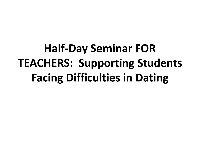**Half-Day Seminar FOR TEACHERS: Supporting Students Facing Difficulties in Dating**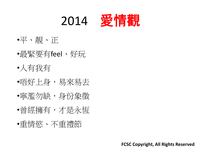

- •平、靚、正
- •最緊要有feel、好玩
- •人有我有
- •唔好上身,易來易去
- •寧濫勿缺,身份象徵
- •曾經擁有,才是永恆
- •重情慾、不重禮節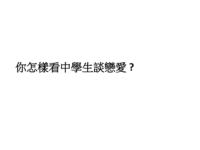# 你怎樣看中學生談戀愛 **?**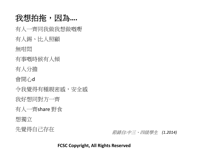### 我想拍拖,因為....

有人一齊同我做我想做嘅嘢

有人錫、比人照顧

無咁悶

有事嘅時候有人傾

有人分擔

會開心d

令我覺得有種親密感,安全感

我好想同對方一齊

有人一齊share 野食

想獨立

先覺得自己存在 *節錄自:中三、四級學生 (1.2014)*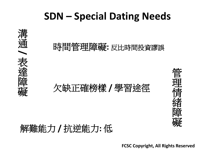# **SDN – Special Dating Needs**

## 時間管理障礙**:** 反比時間投資謬誤

## 欠缺正確榜樣 **/** 學習途徑



解難能力 **/** 抗逆能力**:** 低

溝

通

**/**

表

達

障

礙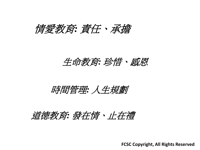## 情愛教育*:* 責任、承擔

生命教育*:* 珍惜、感恩

時間管理*:* 人生規劃

## 道德教育*:* 發在情、止在禮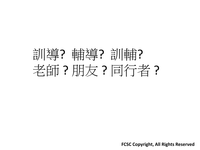# 訓導? 輔導? 訓輔? 老師?朋友?同行者?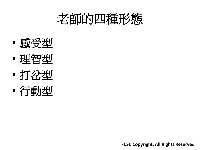# 老師的四種形態

- 感受型
- 理智型
- 打岔型
- 行動型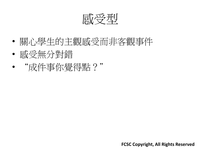感受型

- 關心學生的主觀感受而非客觀事件
- 感受無分對錯
- "成件事你覺得點?"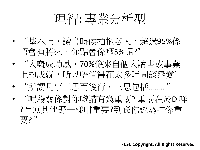

- "基本上,讀書時候拍拖嘅人,超過95%係 唔會有將來,你點會係嗰5%呢?"
- "人嘅成功感,70%係來自個人讀書或事業 上的成就,所以唔值得花太多時間談戀愛"
- "所謂凡事三思而後行,三思包括…….. "
	- "呢段關係對你嚟講有幾重要? 重要在於D 咩 ?有無其他野一樣咁重要?到底你認為咩係重 要?"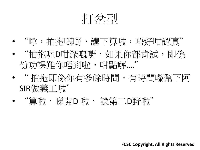打岔型

- "嗱,拍拖嘅嘢,譜下算啲,唔好咁認真" • "拍拖呢D咁深嘅嘢,如果你都肯試,即係 份功課難你唔到啦,,咁留糕…."
- " 拍拖即係你有多餘時間,有時間嚟幫下阿 SIR做義工啦"
- "算啦,睇開D 啦, 諗第二D野啦"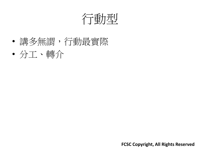行動型

- 講多無謂,行動最實際
- 分工、轉介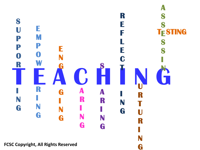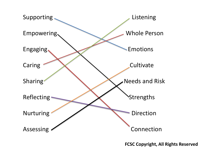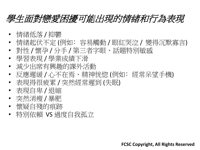## 學生面對戀愛困擾可能出現的情緒和行為表現

- 情緒低落 / 抑鬱
- 情緒起伏不定(例如: 容易觸動/眼紅哭泣/變得沉默寡言)
- 對性 / 懷孕 / 分手 / 第三者字眼、話題特別敏感
- 學習表現/學業成績下滑
- 減少出席有興趣的課外活動
- 反應遲緩/心不在焉、精神恍惚(例如: 經常呆望手機)
- 表現得很疲累 / 突然經常遲到 (失眠)
- 表現自卑 / 退縮
- 突然消瘦 / 暴肥
- 懷疑自殘的痕跡
- 特別依賴 VS 過度自我孤立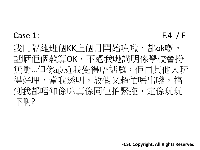#### Case 1:  $F.4 / F$

我同隔離班個KK上個月開始咗啦,都ok嘅,, 話晒佢個款算OK,不過我哋講明係學校會扮 無嘢…但係最近我覺得唔掂囉, 佢同其他人玩 得好埋, 當我透明, 放假又超忙唔出嚟, 搞 到我都唔知係咪真係同佢拍緊拖, 定係玩玩 吓啊?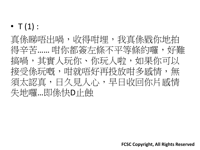•  $T(1)$ :

真係睇唔出喎,收得咁埋,我真係戥你地拍 得辛苦…… 咁你都簽左條不平等條約囉, 好難 搞喎,其實人玩你、你玩人啦,如果你可以 接受係玩嘅,咁就唔好再投放咁多感情,無 須太認真,日久見人心,早日收回你片感情 失地囉…即係快D止蝕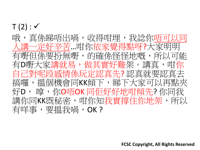$T(2): \checkmark$ 哦,真係睇唔出喎,收得咁埋,我諗你唔可 定好辛苦…咁你依家覺得點呀?大家明明 嘢但係要扮無嘢,的確係怪怪地嘅,所以可能 有D嘢大家講就易,做其實好難架。講真,咁你 自己對呢段感情係玩定認真先? 認真就要認真去 搞囉,搵個機會同KK傾下,睇下大家可以再點來 好D, 嗱,你O唔OK 同佢好好地咁傾先? 你同我 講你同KK既秘密,咁你知我實撐住你地架,所以 有咩事,要搵我唱,OK?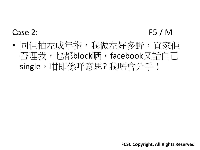## Case 2: F5 / M

• 同佢拍左成年拖,我做左好多野,宜家佢 吾理我,乜都block晒,facebook又話自己 single,咁即係咩意思? 我唔會分手!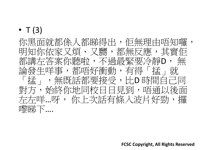## $\bullet$  T (3)

你黑面就都係人都睇得出,佢無理由唔知囉, 明知你依家又煩、又嬲,都無反應,其實 都講左答案你聽啦,不過最緊要冷靜D, 無 論發生咩事,都唔好衝動,有得「掹」就 「掹」,無既話都要接受,比D 時間自己同 對方,始終你地同校日日見到,唔通以彳 左左咩…呀, 你上次話有條入波片好勁,攞 嚟睇下….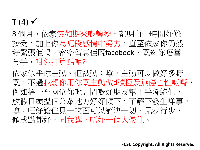## $T(4)$   $\checkmark$

8個月,依家突如期來嘅轉變,都明白一時間好難 接受,加上你為呢段感情咁努力,直至依家你仍然 好緊張佢喎,密密留意佢既facebook,既然你唔當 分手,咁你打算點呢?

依家似乎你主動、佢被動;嗱,主動可以做好多野 既,不過我想你用你既主動做d積極及無傷害性嘅嘢, 例如搵一至兩位你哋之間嘅好朋友幫下手聯絡佢, 放假日頭搵個公眾地方好好傾下,了解下發生咩事, 嗱,唔好諗住見一次面可以解決一切,見步行步, 傾成點都好,同我講,唔好一個人鬱住。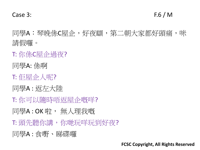Case 3: F.6 / M

同學A:琴晚係C屋企,好夜瞓,第二朝大家都好頭痛,咪 請假囉。

- T: 你係C屋企過夜?
- 同學A: 係啊
- T: 佢屋企人呢?
- 同學A : 返左大陸
- T: 你可以隨時唔返屋企嘅咩?
- 同學A : OK 啦, 無人理我嘅
- T: 頭先聽你講, 你哋玩咩玩到好夜?
- 同學A : 食嘢、睇碟囉